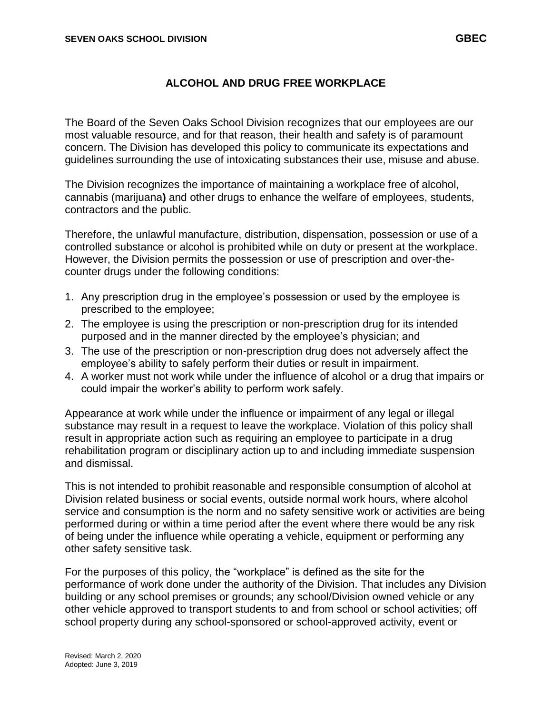## **ALCOHOL AND DRUG FREE WORKPLACE**

The Board of the Seven Oaks School Division recognizes that our employees are our most valuable resource, and for that reason, their health and safety is of paramount concern. The Division has developed this policy to communicate its expectations and guidelines surrounding the use of intoxicating substances their use, misuse and abuse.

The Division recognizes the importance of maintaining a workplace free of alcohol, cannabis (marijuana**)** and other drugs to enhance the welfare of employees, students, contractors and the public.

Therefore, the unlawful manufacture, distribution, dispensation, possession or use of a controlled substance or alcohol is prohibited while on duty or present at the workplace. However, the Division permits the possession or use of prescription and over-thecounter drugs under the following conditions:

- 1. Any prescription drug in the employee's possession or used by the employee is prescribed to the employee;
- 2. The employee is using the prescription or non-prescription drug for its intended purposed and in the manner directed by the employee's physician; and
- 3. The use of the prescription or non-prescription drug does not adversely affect the employee's ability to safely perform their duties or result in impairment.
- 4. A worker must not work while under the influence of alcohol or a drug that impairs or could impair the worker's ability to perform work safely.

Appearance at work while under the influence or impairment of any legal or illegal substance may result in a request to leave the workplace. Violation of this policy shall result in appropriate action such as requiring an employee to participate in a drug rehabilitation program or disciplinary action up to and including immediate suspension and dismissal.

This is not intended to prohibit reasonable and responsible consumption of alcohol at Division related business or social events, outside normal work hours, where alcohol service and consumption is the norm and no safety sensitive work or activities are being performed during or within a time period after the event where there would be any risk of being under the influence while operating a vehicle, equipment or performing any other safety sensitive task.

For the purposes of this policy, the "workplace" is defined as the site for the performance of work done under the authority of the Division. That includes any Division building or any school premises or grounds; any school/Division owned vehicle or any other vehicle approved to transport students to and from school or school activities; off school property during any school-sponsored or school-approved activity, event or